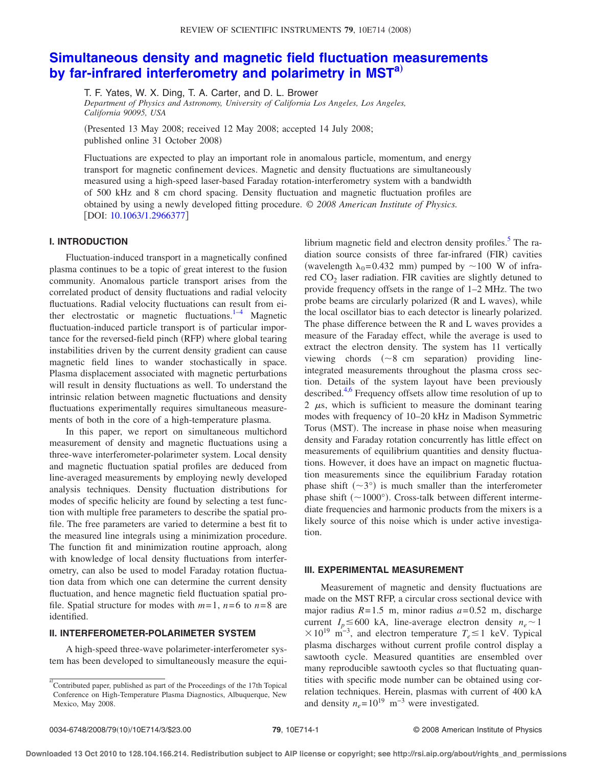## **[Simultaneous density and magnetic field fluctuation measurements](http://dx.doi.org/10.1063/1.2966377) [by far-infrared interferometry and polarimetry in MST](http://dx.doi.org/10.1063/1.2966377)[a](#page-0-0)**…

T. F. Yates, W. X. Ding, T. A. Carter, and D. L. Brower *Department of Physics and Astronomy, University of California Los Angeles, Los Angeles,*

*California 90095, USA*

!Presented 13 May 2008; received 12 May 2008; accepted 14 July 2008; published online 31 October 2008)

Fluctuations are expected to play an important role in anomalous particle, momentum, and energy transport for magnetic confinement devices. Magnetic and density fluctuations are simultaneously measured using a high-speed laser-based Faraday rotation-interferometry system with a bandwidth of 500 kHz and 8 cm chord spacing. Density fluctuation and magnetic fluctuation profiles are obtained by using a newly developed fitting procedure. *© 2008 American Institute of Physics.* [DOI: [10.1063/1.2966377](http://dx.doi.org/10.1063/1.2966377)]

## **I. INTRODUCTION**

Fluctuation-induced transport in a magnetically confined plasma continues to be a topic of great interest to the fusion community. Anomalous particle transport arises from the correlated product of density fluctuations and radial velocity fluctuations. Radial velocity fluctuations can result from either electrostatic or magnetic fluctuations. $1-4$  $1-4$  Magnetic fluctuation-induced particle transport is of particular importance for the reversed-field pinch (RFP) where global tearing instabilities driven by the current density gradient can cause magnetic field lines to wander stochastically in space. Plasma displacement associated with magnetic perturbations will result in density fluctuations as well. To understand the intrinsic relation between magnetic fluctuations and density fluctuations experimentally requires simultaneous measurements of both in the core of a high-temperature plasma.

In this paper, we report on simultaneous multichord measurement of density and magnetic fluctuations using a three-wave interferometer-polarimeter system. Local density and magnetic fluctuation spatial profiles are deduced from line-averaged measurements by employing newly developed analysis techniques. Density fluctuation distributions for modes of specific helicity are found by selecting a test function with multiple free parameters to describe the spatial profile. The free parameters are varied to determine a best fit to the measured line integrals using a minimization procedure. The function fit and minimization routine approach, along with knowledge of local density fluctuations from interferometry, can also be used to model Faraday rotation fluctuation data from which one can determine the current density fluctuation, and hence magnetic field fluctuation spatial profile. Spatial structure for modes with  $m=1$ ,  $n=6$  to  $n=8$  are identified.

## **II. INTERFEROMETER-POLARIMETER SYSTEM**

A high-speed three-wave polarimeter-interferometer system has been developed to simultaneously measure the equilibrium magnetic field and electron density profiles. $5$  The radiation source consists of three far-infrared (FIR) cavities (wavelength  $\lambda_0$ =0.432 mm) pumped by ~100 W of infrared  $CO<sub>2</sub>$  laser radiation. FIR cavities are slightly detuned to provide frequency offsets in the range of 1–2 MHz. The two probe beams are circularly polarized  $(R$  and  $L$  waves), while the local oscillator bias to each detector is linearly polarized. The phase difference between the R and L waves provides a measure of the Faraday effect, while the average is used to extract the electron density. The system has 11 vertically viewing chords  $(\sim 8 \text{ cm} \text{ separation})$  providing lineintegrated measurements throughout the plasma cross section. Details of the system layout have been previously described.<sup>4[,6](#page-2-3)</sup> Frequency offsets allow time resolution of up to 2  $\mu$ s, which is sufficient to measure the dominant tearing modes with frequency of 10–20 kHz in Madison Symmetric Torus (MST). The increase in phase noise when measuring density and Faraday rotation concurrently has little effect on measurements of equilibrium quantities and density fluctuations. However, it does have an impact on magnetic fluctuation measurements since the equilibrium Faraday rotation phase shift  $({\sim}3^{\circ})$  is much smaller than the interferometer phase shift  $({\sim}1000^{\circ})$ . Cross-talk between different intermediate frequencies and harmonic products from the mixers is a likely source of this noise which is under active investigation.

## **III. EXPERIMENTAL MEASUREMENT**

Measurement of magnetic and density fluctuations are made on the MST RFP, a circular cross sectional device with major radius  $R = 1.5$  m, minor radius  $a = 0.52$  m, discharge current  $I_p \le 600$  kA, line-average electron density  $n_e \sim 1$  $\times 10^{19}$  m<sup>-3</sup>, and electron temperature  $T_e \le 1$  keV. Typical plasma discharges without current profile control display a sawtooth cycle. Measured quantities are ensembled over many reproducible sawtooth cycles so that fluctuating quantities with specific mode number can be obtained using correlation techniques. Herein, plasmas with current of 400 kA and density  $n_e$ = 10<sup>19</sup> m<sup>-3</sup> were investigated.

<span id="page-0-0"></span>a) Contributed paper, published as part of the Proceedings of the 17th Topical Conference on High-Temperature Plasma Diagnostics, Albuquerque, New Mexico, May 2008.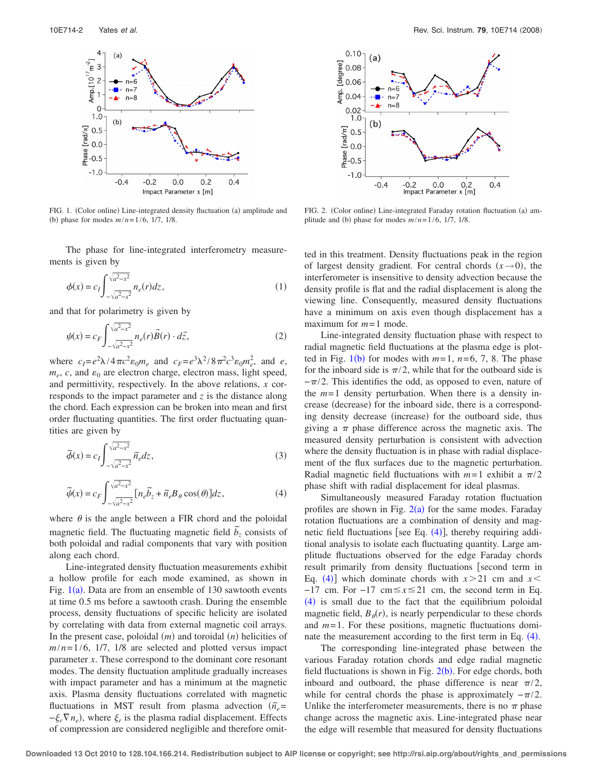<span id="page-1-0"></span>

FIG. 1. (Color online) Line-integrated density fluctuation (a) amplitude and (b) phase for modes  $m/n = 1/6$ , 1/7, 1/8.

The phase for line-integrated interferometry measurements is given by

$$
\phi(x) = c_I \int_{-\sqrt{a^2 - x^2}}^{\sqrt{a^2 - x^2}} n_e(r) dz,
$$
\n(1)

and that for polarimetry is given by

$$
\psi(x) = c_F \int_{-\sqrt{a^2 - x^2}}^{\sqrt{a^2 - x^2}} n_e(r) \vec{B}(r) \cdot d\vec{z},\tag{2}
$$

where  $c_1 = e^2 \lambda / 4 \pi c^2 \varepsilon_0 m_e$  and  $c_F = e^3 \lambda^2 / 8 \pi^2 c^3 \varepsilon_0 m_e^2$ , and *e*,  $m_e$ , *c*, and  $\varepsilon_0$  are electron charge, electron mass, light speed, and permittivity, respectively. In the above relations, *x* corresponds to the impact parameter and *z* is the distance along the chord. Each expression can be broken into mean and first order fluctuating quantities. The first order fluctuating quantities are given by

$$
\tilde{\phi}(x) = c_I \int_{-\sqrt{a^2 - x^2}}^{\sqrt{a^2 - x^2}} \tilde{n}_e dz,
$$
\n(3)

<span id="page-1-2"></span>
$$
\widetilde{\psi}(x) = c_F \int_{-\sqrt{a^2 - x^2}}^{\sqrt{a^2 - x^2}} [n_e \widetilde{b}_z + \widetilde{n}_e B_\theta \cos(\theta)] dz,
$$
\n(4)

where  $\theta$  is the angle between a FIR chord and the poloidal magnetic field. The fluctuating magnetic field  $\tilde{b}_z$  consists of both poloidal and radial components that vary with position along each chord.

Line-integrated density fluctuation measurements exhibit a hollow profile for each mode examined, as shown in Fig.  $1(a)$  $1(a)$ . Data are from an ensemble of 130 sawtooth events at time 0.5 ms before a sawtooth crash. During the ensemble process, density fluctuations of specific helicity are isolated by correlating with data from external magnetic coil arrays. In the present case, poloidal  $(m)$  and toroidal  $(n)$  helicities of  $m/n = 1/6$ , 1/7, 1/8 are selected and plotted versus impact parameter *x*. These correspond to the dominant core resonant modes. The density fluctuation amplitude gradually increases with impact parameter and has a minimum at the magnetic axis. Plasma density fluctuations correlated with magnetic fluctuations in MST result from plasma advection  $(\tilde{n}_e$ =  $-\xi_r \nabla n_e$ , where  $\xi_r$  is the plasma radial displacement. Effects of compression are considered negligible and therefore omit-

<span id="page-1-1"></span>

FIG. 2. (Color online) Line-integrated Faraday rotation fluctuation (a) amplitude and (b) phase for modes  $m/n = 1/6$ , 1/7, 1/8.

ted in this treatment. Density fluctuations peak in the region of largest density gradient. For central chords  $(x \rightarrow 0)$ , the interferometer is insensitive to density advection because the density profile is flat and the radial displacement is along the viewing line. Consequently, measured density fluctuations have a minimum on axis even though displacement has a maximum for  $m = 1$  mode.

Line-integrated density fluctuation phase with respect to radial magnetic field fluctuations at the plasma edge is plotted in Fig.  $1(b)$  $1(b)$  for modes with  $m=1$ ,  $n=6, 7, 8$ . The phase for the inboard side is  $\pi/2$ , while that for the outboard side is  $-\pi/2$ . This identifies the odd, as opposed to even, nature of the  $m=1$  density perturbation. When there is a density increase (decrease) for the inboard side, there is a corresponding density decrease (increase) for the outboard side, thus giving a  $\pi$  phase difference across the magnetic axis. The measured density perturbation is consistent with advection where the density fluctuation is in phase with radial displacement of the flux surfaces due to the magnetic perturbation. Radial magnetic field fluctuations with  $m=1$  exhibit a  $\pi/2$ phase shift with radial displacement for ideal plasmas.

Simultaneously measured Faraday rotation fluctuation profiles are shown in Fig.  $2(a)$  $2(a)$  for the same modes. Faraday rotation fluctuations are a combination of density and magnetic field fluctuations [see Eq.  $(4)$  $(4)$  $(4)$ ], thereby requiring additional analysis to isolate each fluctuating quantity. Large amplitude fluctuations observed for the edge Faraday chords result primarily from density fluctuations [second term in Eq. ([4](#page-1-2))] which dominate chords with  $x > 21$  cm and  $x <$ −17 cm. For −17 cm#*x*#21 cm, the second term in Eq.  $(4)$  $(4)$  $(4)$  is small due to the fact that the equilibrium poloidal magnetic field,  $B_{\theta}(r)$ , is nearly perpendicular to these chords and *m*= 1. For these positions, magnetic fluctuations dominate the measurement according to the first term in Eq.  $(4)$  $(4)$  $(4)$ .

The corresponding line-integrated phase between the various Faraday rotation chords and edge radial magnetic field fluctuations is shown in Fig.  $2(b)$  $2(b)$ . For edge chords, both inboard and outboard, the phase difference is near  $\pi/2$ , while for central chords the phase is approximately  $-\pi/2$ . Unlike the interferometer measurements, there is no  $\pi$  phase change across the magnetic axis. Line-integrated phase near the edge will resemble that measured for density fluctuations